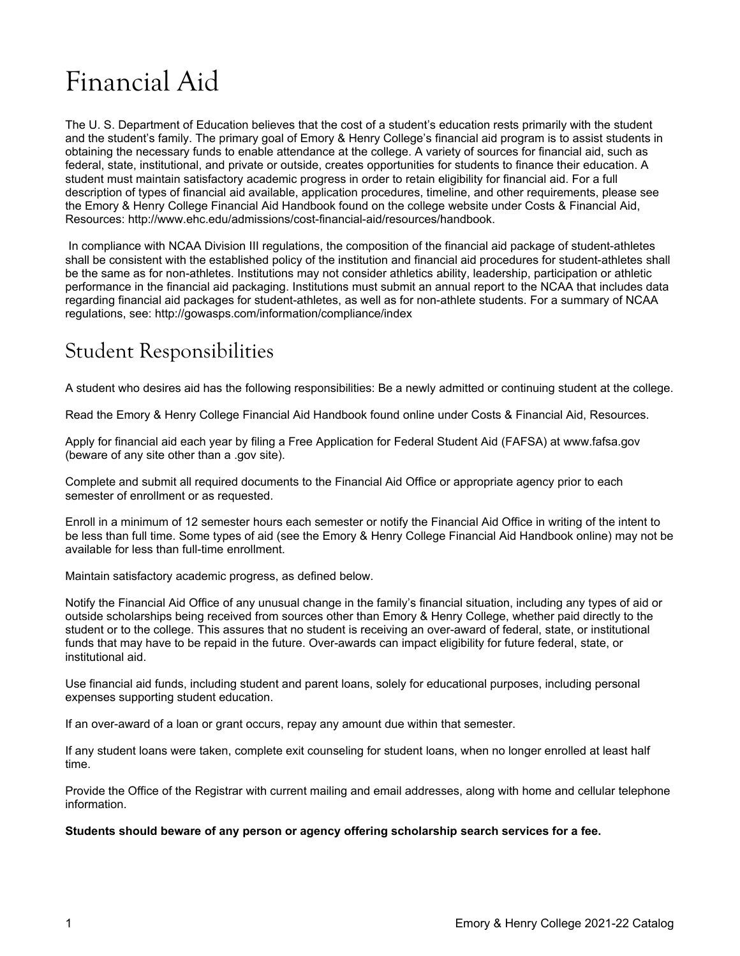# Financial Aid

The U. S. Department of Education believes that the cost of a student's education rests primarily with the student and the student's family. The primary goal of Emory & Henry College's financial aid program is to assist students in obtaining the necessary funds to enable attendance at the college. A variety of sources for financial aid, such as federal, state, institutional, and private or outside, creates opportunities for students to finance their education. A student must maintain satisfactory academic progress in order to retain eligibility for financial aid. For a full description of types of financial aid available, application procedures, timeline, and other requirements, please see the Emory & Henry College Financial Aid Handbook found on the college website under Costs & Financial Aid, Resources: [http://www.ehc.edu/admissions/cost-financial-aid/resources/handbook.](http://www.ehc.edu/admissions/cost-financial-aid/resources/handbook) 

In compliance with NCAA Division III regulations, the composition of the financial aid package of student-athletes shall be consistent with the established policy of the institution and financial aid procedures for student-athletes shall be the same as for non-athletes. Institutions may not consider athletics ability, leadership, participation or athletic performance in the financial aid packaging. Institutions must submit an annual report to the NCAA that includes data regarding financial aid packages for student-athletes, as well as for non-athlete students. For a summary of NCAA regulations, see:<http://gowasps.com/information/compliance/index>

# Student Responsibilities

A student who desires aid has the following responsibilities: Be a newly admitted or continuing student at the college.

Read the Emory & Henry College Financial Aid Handbook found online under Costs & Financial Aid, Resources.

Apply for financial aid each year by filing a Free Application for Federal Student Aid (FAFSA) at [www.fafsa.gov](https://fafsa.ed.gov/) (beware of any site other than a .gov site).

Complete and submit all required documents to the Financial Aid Office or appropriate agency prior to each semester of enrollment or as requested.

Enroll in a minimum of 12 semester hours each semester or notify the Financial Aid Office in writing of the intent to be less than full time. Some types of aid (see the Emory & Henry College Financial Aid Handbook online) may not be available for less than full-time enrollment.

Maintain satisfactory academic progress, as defined below.

Notify the Financial Aid Office of any unusual change in the family's financial situation, including any types of aid or outside scholarships being received from sources other than Emory & Henry College, whether paid directly to the student or to the college. This assures that no student is receiving an over-award of federal, state, or institutional funds that may have to be repaid in the future. Over-awards can impact eligibility for future federal, state, or institutional aid.

Use financial aid funds, including student and parent loans, solely for educational purposes, including personal expenses supporting student education.

If an over-award of a loan or grant occurs, repay any amount due within that semester.

If any student loans were taken, complete exit counseling for student loans, when no longer enrolled at least half time.

Provide the Office of the Registrar with current mailing and email addresses, along with home and cellular telephone information.

**Students should beware of any person or agency offering scholarship search services for a fee.**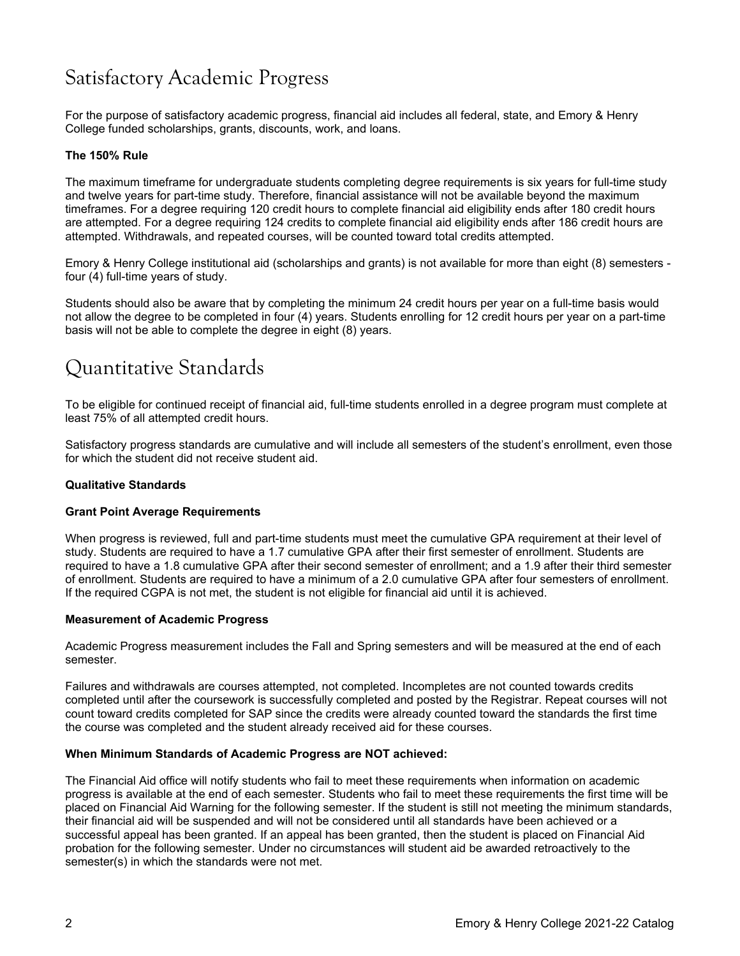# Satisfactory Academic Progress

For the purpose of satisfactory academic progress, financial aid includes all federal, state, and Emory & Henry College funded scholarships, grants, discounts, work, and loans.

### **The 150% Rule**

The maximum timeframe for undergraduate students completing degree requirements is six years for full-time study and twelve years for part-time study. Therefore, financial assistance will not be available beyond the maximum timeframes. For a degree requiring 120 credit hours to complete financial aid eligibility ends after 180 credit hours are attempted. For a degree requiring 124 credits to complete financial aid eligibility ends after 186 credit hours are attempted. Withdrawals, and repeated courses, will be counted toward total credits attempted.

Emory & Henry College institutional aid (scholarships and grants) is not available for more than eight (8) semesters four (4) full-time years of study.

Students should also be aware that by completing the minimum 24 credit hours per year on a full-time basis would not allow the degree to be completed in four (4) years. Students enrolling for 12 credit hours per year on a part-time basis will not be able to complete the degree in eight (8) years.

### Quantitative Standards

To be eligible for continued receipt of financial aid, full-time students enrolled in a degree program must complete at least 75% of all attempted credit hours.

Satisfactory progress standards are cumulative and will include all semesters of the student's enrollment, even those for which the student did not receive student aid.

### **Qualitative Standards**

### **Grant Point Average Requirements**

When progress is reviewed, full and part-time students must meet the cumulative GPA requirement at their level of study. Students are required to have a 1.7 cumulative GPA after their first semester of enrollment. Students are required to have a 1.8 cumulative GPA after their second semester of enrollment; and a 1.9 after their third semester of enrollment. Students are required to have a minimum of a 2.0 cumulative GPA after four semesters of enrollment. If the required CGPA is not met, the student is not eligible for financial aid until it is achieved.

### **Measurement of Academic Progress**

Academic Progress measurement includes the Fall and Spring semesters and will be measured at the end of each semester.

Failures and withdrawals are courses attempted, not completed. Incompletes are not counted towards credits completed until after the coursework is successfully completed and posted by the Registrar. Repeat courses will not count toward credits completed for SAP since the credits were already counted toward the standards the first time the course was completed and the student already received aid for these courses.

### **When Minimum Standards of Academic Progress are NOT achieved:**

The Financial Aid office will notify students who fail to meet these requirements when information on academic progress is available at the end of each semester. Students who fail to meet these requirements the first time will be placed on Financial Aid Warning for the following semester. If the student is still not meeting the minimum standards, their financial aid will be suspended and will not be considered until all standards have been achieved or a successful appeal has been granted. If an appeal has been granted, then the student is placed on Financial Aid probation for the following semester. Under no circumstances will student aid be awarded retroactively to the semester(s) in which the standards were not met.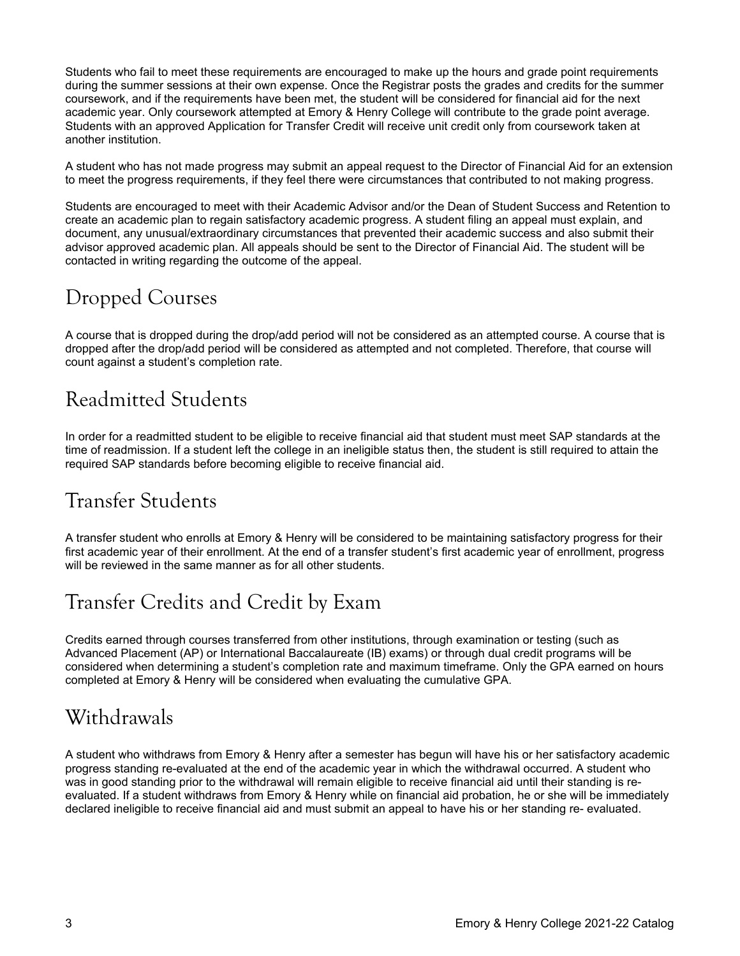Students who fail to meet these requirements are encouraged to make up the hours and grade point requirements during the summer sessions at their own expense. Once the Registrar posts the grades and credits for the summer coursework, and if the requirements have been met, the student will be considered for financial aid for the next academic year. Only coursework attempted at Emory & Henry College will contribute to the grade point average. Students with an approved Application for Transfer Credit will receive unit credit only from coursework taken at another institution.

A student who has not made progress may submit an appeal request to the Director of Financial Aid for an extension to meet the progress requirements, if they feel there were circumstances that contributed to not making progress.

Students are encouraged to meet with their Academic Advisor and/or the Dean of Student Success and Retention to create an academic plan to regain satisfactory academic progress. A student filing an appeal must explain, and document, any unusual/extraordinary circumstances that prevented their academic success and also submit their advisor approved academic plan. All appeals should be sent to the Director of Financial Aid. The student will be contacted in writing regarding the outcome of the appeal.

# Dropped Courses

A course that is dropped during the drop/add period will not be considered as an attempted course. A course that is dropped after the drop/add period will be considered as attempted and not completed. Therefore, that course will count against a student's completion rate.

# Readmitted Students

In order for a readmitted student to be eligible to receive financial aid that student must meet SAP standards at the time of readmission. If a student left the college in an ineligible status then, the student is still required to attain the required SAP standards before becoming eligible to receive financial aid.

# Transfer Students

A transfer student who enrolls at Emory & Henry will be considered to be maintaining satisfactory progress for their first academic year of their enrollment. At the end of a transfer student's first academic year of enrollment, progress will be reviewed in the same manner as for all other students.

# Transfer Credits and Credit by Exam

Credits earned through courses transferred from other institutions, through examination or testing (such as Advanced Placement (AP) or International Baccalaureate (IB) exams) or through dual credit programs will be considered when determining a student's completion rate and maximum timeframe. Only the GPA earned on hours completed at Emory & Henry will be considered when evaluating the cumulative GPA.

# Withdrawals

A student who withdraws from Emory & Henry after a semester has begun will have his or her satisfactory academic progress standing re-evaluated at the end of the academic year in which the withdrawal occurred. A student who was in good standing prior to the withdrawal will remain eligible to receive financial aid until their standing is reevaluated. If a student withdraws from Emory & Henry while on financial aid probation, he or she will be immediately declared ineligible to receive financial aid and must submit an appeal to have his or her standing re- evaluated.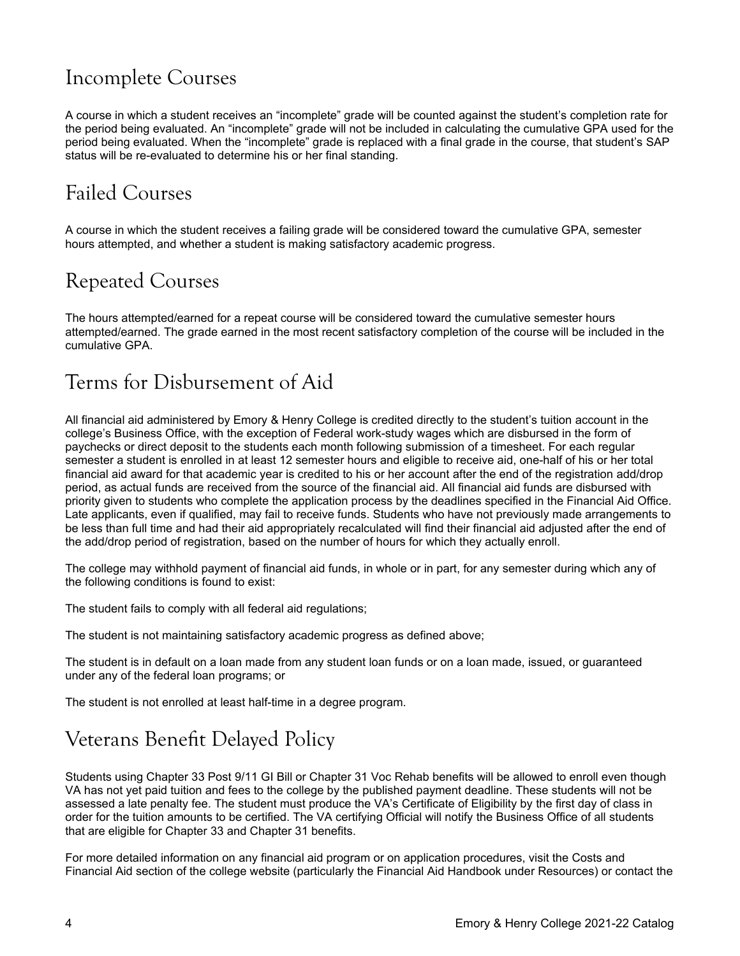# Incomplete Courses

A course in which a student receives an "incomplete" grade will be counted against the student's completion rate for the period being evaluated. An "incomplete" grade will not be included in calculating the cumulative GPA used for the period being evaluated. When the "incomplete" grade is replaced with a final grade in the course, that student's SAP status will be re-evaluated to determine his or her final standing.

# Failed Courses

A course in which the student receives a failing grade will be considered toward the cumulative GPA, semester hours attempted, and whether a student is making satisfactory academic progress.

# Repeated Courses

The hours attempted/earned for a repeat course will be considered toward the cumulative semester hours attempted/earned. The grade earned in the most recent satisfactory completion of the course will be included in the cumulative GPA.

# Terms for Disbursement of Aid

All financial aid administered by Emory & Henry College is credited directly to the student's tuition account in the college's Business Office, with the exception of Federal work-study wages which are disbursed in the form of paychecks or direct deposit to the students each month following submission of a timesheet. For each regular semester a student is enrolled in at least 12 semester hours and eligible to receive aid, one-half of his or her total financial aid award for that academic year is credited to his or her account after the end of the registration add/drop period, as actual funds are received from the source of the financial aid. All financial aid funds are disbursed with priority given to students who complete the application process by the deadlines specified in the Financial Aid Office. Late applicants, even if qualified, may fail to receive funds. Students who have not previously made arrangements to be less than full time and had their aid appropriately recalculated will find their financial aid adjusted after the end of the add/drop period of registration, based on the number of hours for which they actually enroll.

The college may withhold payment of financial aid funds, in whole or in part, for any semester during which any of the following conditions is found to exist:

The student fails to comply with all federal aid regulations;

The student is not maintaining satisfactory academic progress as defined above;

The student is in default on a loan made from any student loan funds or on a loan made, issued, or guaranteed under any of the federal loan programs; or

The student is not enrolled at least half-time in a degree program.

# Veterans Benefit Delayed Policy

Students using Chapter 33 Post 9/11 GI Bill or Chapter 31 Voc Rehab benefits will be allowed to enroll even though VA has not yet paid tuition and fees to the college by the published payment deadline. These students will not be assessed a late penalty fee. The student must produce the VA's Certificate of Eligibility by the first day of class in order for the tuition amounts to be certified. The VA certifying Official will notify the Business Office of all students that are eligible for Chapter 33 and Chapter 31 benefits.

For more detailed information on any financial aid program or on application procedures, visit the Costs and Financial Aid section of the college website (particularly the Financial Aid Handbook under Resources) or contact the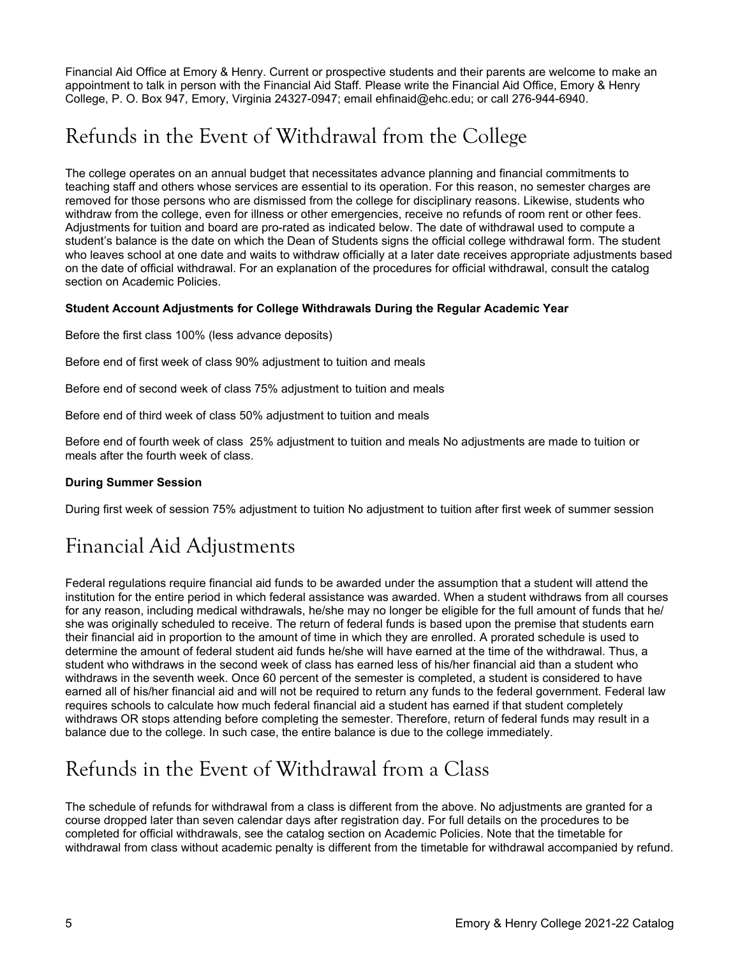Financial Aid Office at Emory & Henry. Current or prospective students and their parents are welcome to make an appointment to talk in person with the Financial Aid Staff. Please write the Financial Aid Office, Emory & Henry College, P. O. Box 947, Emory, Virginia 24327-0947; email [ehfinaid@ehc.edu;](mailto:ehfinaid@ehc.edu) or call 276-944-6940.

# Refunds in the Event of Withdrawal from the College

The college operates on an annual budget that necessitates advance planning and financial commitments to teaching staff and others whose services are essential to its operation. For this reason, no semester charges are removed for those persons who are dismissed from the college for disciplinary reasons. Likewise, students who withdraw from the college, even for illness or other emergencies, receive no refunds of room rent or other fees. Adjustments for tuition and board are pro-rated as indicated below. The date of withdrawal used to compute a student's balance is the date on which the Dean of Students signs the official college withdrawal form. The student who leaves school at one date and waits to withdraw officially at a later date receives appropriate adjustments based on the date of official withdrawal. For an explanation of the procedures for official withdrawal, consult the catalog section on Academic Policies.

### **Student Account Adjustments for College Withdrawals During the Regular Academic Year**

Before the first class 100% (less advance deposits)

Before end of first week of class 90% adjustment to tuition and meals

Before end of second week of class 75% adjustment to tuition and meals

Before end of third week of class 50% adjustment to tuition and meals

Before end of fourth week of class 25% adjustment to tuition and meals No adjustments are made to tuition or meals after the fourth week of class.

### **During Summer Session**

During first week of session 75% adjustment to tuition No adjustment to tuition after first week of summer session

# Financial Aid Adjustments

Federal regulations require financial aid funds to be awarded under the assumption that a student will attend the institution for the entire period in which federal assistance was awarded. When a student withdraws from all courses for any reason, including medical withdrawals, he/she may no longer be eligible for the full amount of funds that he/ she was originally scheduled to receive. The return of federal funds is based upon the premise that students earn their financial aid in proportion to the amount of time in which they are enrolled. A prorated schedule is used to determine the amount of federal student aid funds he/she will have earned at the time of the withdrawal. Thus, a student who withdraws in the second week of class has earned less of his/her financial aid than a student who withdraws in the seventh week. Once 60 percent of the semester is completed, a student is considered to have earned all of his/her financial aid and will not be required to return any funds to the federal government. Federal law requires schools to calculate how much federal financial aid a student has earned if that student completely withdraws OR stops attending before completing the semester. Therefore, return of federal funds may result in a balance due to the college. In such case, the entire balance is due to the college immediately.

# Refunds in the Event of Withdrawal from a Class

The schedule of refunds for withdrawal from a class is different from the above. No adjustments are granted for a course dropped later than seven calendar days after registration day. For full details on the procedures to be completed for official withdrawals, see the catalog section on Academic Policies. Note that the timetable for withdrawal from class without academic penalty is different from the timetable for withdrawal accompanied by refund.